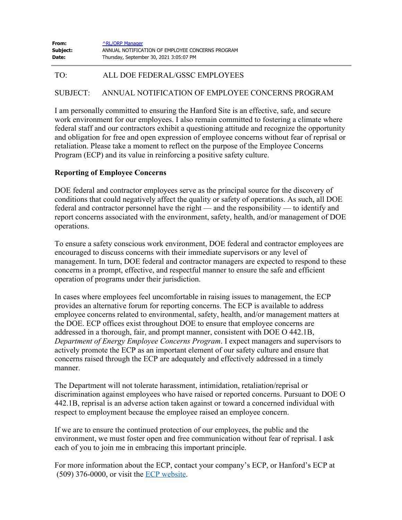| From:        | <b>ARL/ORP Manager</b>                           |
|--------------|--------------------------------------------------|
| Subject:     | ANNUAL NOTIFICATION OF EMPLOYEE CONCERNS PROGRAM |
| <b>Date:</b> | Thursday, September 30, 2021 3:05:07 PM          |

## TO: ALL DOE FEDERAL/GSSC EMPLOYEES

## SUBJECT: ANNUAL NOTIFICATION OF EMPLOYEE CONCERNS PROGRAM

I am personally committed to ensuring the Hanford Site is an effective, safe, and secure work environment for our employees. I also remain committed to fostering a climate where federal staff and our contractors exhibit a questioning attitude and recognize the opportunity and obligation for free and open expression of employee concerns without fear of reprisal or retaliation. Please take a moment to reflect on the purpose of the Employee Concerns Program (ECP) and its value in reinforcing a positive safety culture.

## **Reporting of Employee Concerns**

DOE federal and contractor employees serve as the principal source for the discovery of conditions that could negatively affect the quality or safety of operations. As such, all DOE federal and contractor personnel have the right — and the responsibility — to identify and report concerns associated with the environment, safety, health, and/or management of DOE operations.

To ensure a safety conscious work environment, DOE federal and contractor employees are encouraged to discuss concerns with their immediate supervisors or any level of management. In turn, DOE federal and contractor managers are expected to respond to these concerns in a prompt, effective, and respectful manner to ensure the safe and efficient operation of programs under their jurisdiction.

In cases where employees feel uncomfortable in raising issues to management, the ECP provides an alternative forum for reporting concerns. The ECP is available to address employee concerns related to environmental, safety, health, and/or management matters at the DOE. ECP offices exist throughout DOE to ensure that employee concerns are addressed in a thorough, fair, and prompt manner, consistent with DOE O 442.1B, *Department of Energy Employee Concerns Program*. I expect managers and supervisors to actively promote the ECP as an important element of our safety culture and ensure that concerns raised through the ECP are adequately and effectively addressed in a timely manner.

The Department will not tolerate harassment, intimidation, retaliation/reprisal or discrimination against employees who have raised or reported concerns. Pursuant to DOE O 442.1B, reprisal is an adverse action taken against or toward a concerned individual with respect to employment because the employee raised an employee concern.

If we are to ensure the continued protection of our employees, the public and the environment, we must foster open and free communication without fear of reprisal. I ask each of you to join me in embracing this important principle.

For more information about the ECP, contact your company's ECP, or Hanford's ECP at (509) 376-0000, or visit the ECP [website](http://www.hanford.gov/page.cfm/ECP).